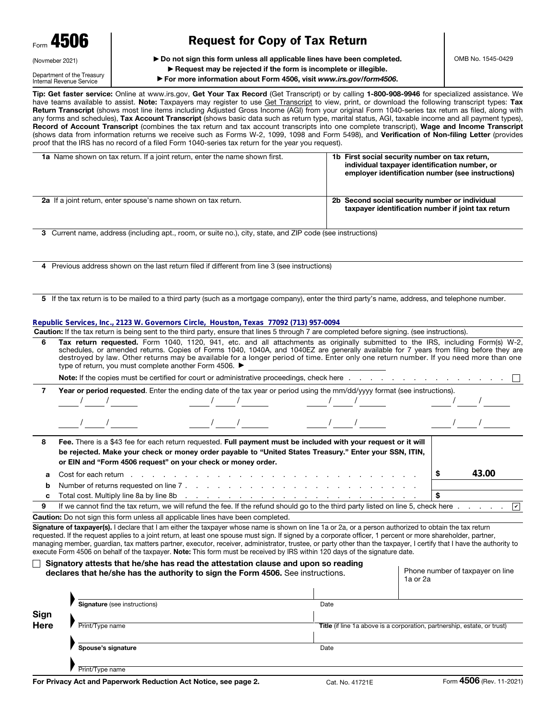| Form 4506       |  |
|-----------------|--|
| (Novmeber 2021) |  |

# Request for Copy of Tax Return

▶ Do not sign this form unless all applicable lines have been completed.

Department of the Treasury Internal Revenue Service

### ▶ Request may be rejected if the form is incomplete or illegible.

▶ For more information about Form 4506, visit *www.irs.gov/form4506*.

Tip: Get faster service: Online at www.irs.gov, Get Your Tax Record (Get Transcript) or by calling 1-800-908-9946 for specialized assistance. We have teams available to assist. Note: Taxpayers may register to use Get Transcript to view, print, or download the following transcript types: Tax Return Transcript (shows most line items including Adjusted Gross Income (AGI) from your original Form 1040-series tax return as filed, along with any forms and schedules), Tax Account Transcript (shows basic data such as return type, marital status, AGI, taxable income and all payment types), Record of Account Transcript (combines the tax return and tax account transcripts into one complete transcript), Wage and Income Transcript (shows data from information returns we receive such as Forms W-2, 1099, 1098 and Form 5498), and Verification of Non-filing Letter (provides proof that the IRS has no record of a filed Form 1040-series tax return for the year you request).

| <b>1a</b> Name shown on tax return. If a joint return, enter the name shown first. | 1b First social security number on tax return,<br>individual taxpayer identification number, or<br>employer identification number (see instructions) |
|------------------------------------------------------------------------------------|------------------------------------------------------------------------------------------------------------------------------------------------------|
| <b>2a</b> If a joint return, enter spouse's name shown on tax return.              | 2b Second social security number or individual<br>taxpayer identification number if joint tax return                                                 |

3 Current name, address (including apt., room, or suite no.), city, state, and ZIP code (see instructions)

4 Previous address shown on the last return filed if different from line 3 (see instructions)

5 If the tax return is to be mailed to a third party (such as a mortgage company), enter the third party's name, address, and telephone number.

#### **Republic Services, Inc., 2123 W. Governors Circle, Houston, Texas 77092 (713) 957-0094**

Caution: If the tax return is being sent to the third party, ensure that lines 5 through 7 are completed before signing. (see instructions).

| 6           | type of return, you must complete another Form 4506. ▶ |                                                                                                                                                                                                                                                                                                                                                                                                                                                         |      | Tax return requested. Form 1040, 1120, 941, etc. and all attachments as originally submitted to the IRS, including Form(s) W-2,<br>schedules, or amended returns. Copies of Forms 1040, 1040A, and 1040EZ are generally available for 7 years from filing before they are<br>destroyed by law. Other returns may be available for a longer period of time. Enter only one return number. If you need more than one |  |  |
|-------------|--------------------------------------------------------|---------------------------------------------------------------------------------------------------------------------------------------------------------------------------------------------------------------------------------------------------------------------------------------------------------------------------------------------------------------------------------------------------------------------------------------------------------|------|--------------------------------------------------------------------------------------------------------------------------------------------------------------------------------------------------------------------------------------------------------------------------------------------------------------------------------------------------------------------------------------------------------------------|--|--|
|             |                                                        |                                                                                                                                                                                                                                                                                                                                                                                                                                                         |      | <b>Note:</b> If the copies must be certified for court or administrative proceedings, check here experience in the copies must be certified for court or administrative proceedings, check here experience in the contract of the c                                                                                                                                                                                |  |  |
| 7           |                                                        | Year or period requested. Enter the ending date of the tax year or period using the mm/dd/yyyy format (see instructions).                                                                                                                                                                                                                                                                                                                               |      |                                                                                                                                                                                                                                                                                                                                                                                                                    |  |  |
|             |                                                        |                                                                                                                                                                                                                                                                                                                                                                                                                                                         |      |                                                                                                                                                                                                                                                                                                                                                                                                                    |  |  |
| 8           |                                                        | Fee. There is a \$43 fee for each return requested. Full payment must be included with your request or it will<br>be rejected. Make your check or money order payable to "United States Treasury." Enter your SSN, ITIN,<br>or EIN and "Form 4506 request" on your check or money order.                                                                                                                                                                |      |                                                                                                                                                                                                                                                                                                                                                                                                                    |  |  |
| a           | Cost for each return                                   |                                                                                                                                                                                                                                                                                                                                                                                                                                                         |      | 43.00<br>S.                                                                                                                                                                                                                                                                                                                                                                                                        |  |  |
| b           |                                                        |                                                                                                                                                                                                                                                                                                                                                                                                                                                         |      |                                                                                                                                                                                                                                                                                                                                                                                                                    |  |  |
| c           |                                                        | Total cost. Multiply line 8a by line 8b (edge) and a contract that is a control of the state of the state of the state of the state of the state of the state of the state of the state of the state of the state of the state                                                                                                                                                                                                                          |      | \$                                                                                                                                                                                                                                                                                                                                                                                                                 |  |  |
| 9           |                                                        |                                                                                                                                                                                                                                                                                                                                                                                                                                                         |      | If we cannot find the tax return, we will refund the fee. If the refund should go to the third party listed on line 5, check here<br>$\overline{\mathbf{v}}$                                                                                                                                                                                                                                                       |  |  |
|             |                                                        | <b>Caution:</b> Do not sign this form unless all applicable lines have been completed.                                                                                                                                                                                                                                                                                                                                                                  |      |                                                                                                                                                                                                                                                                                                                                                                                                                    |  |  |
|             |                                                        | Signature of taxpayer(s). I declare that I am either the taxpayer whose name is shown on line 1a or 2a, or a person authorized to obtain the tax return<br>requested. If the request applies to a joint return, at least one spouse must sign. If signed by a corporate officer, 1 percent or more shareholder, partner,<br>execute Form 4506 on behalf of the taxpayer. Note: This form must be received by IRS within 120 days of the signature date. |      | managing member, quardian, tax matters partner, executor, receiver, administrator, trustee, or party other than the taxpayer, I certify that I have the authority to                                                                                                                                                                                                                                               |  |  |
|             |                                                        | Signatory attests that he/she has read the attestation clause and upon so reading<br>declares that he/she has the authority to sign the Form 4506. See instructions.                                                                                                                                                                                                                                                                                    |      | Phone number of taxpayer on line<br>1a or 2a                                                                                                                                                                                                                                                                                                                                                                       |  |  |
|             | Signature (see instructions)                           |                                                                                                                                                                                                                                                                                                                                                                                                                                                         | Date |                                                                                                                                                                                                                                                                                                                                                                                                                    |  |  |
| Sign        |                                                        |                                                                                                                                                                                                                                                                                                                                                                                                                                                         |      |                                                                                                                                                                                                                                                                                                                                                                                                                    |  |  |
| <b>Here</b> | Print/Type name                                        |                                                                                                                                                                                                                                                                                                                                                                                                                                                         |      | Title (if line 1a above is a corporation, partnership, estate, or trust)                                                                                                                                                                                                                                                                                                                                           |  |  |
|             | Spouse's signature                                     |                                                                                                                                                                                                                                                                                                                                                                                                                                                         | Date |                                                                                                                                                                                                                                                                                                                                                                                                                    |  |  |